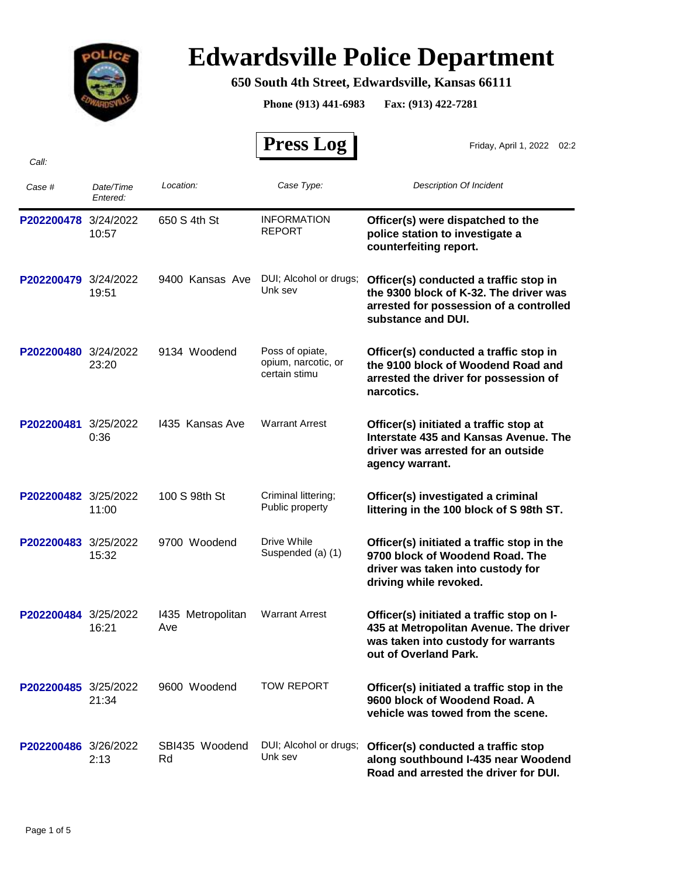

## **Edwardsville Police Department**

## **650 South 4th Street, Edwardsville, Kansas 66111**

**Phone (913) 441-6983 Fax: (913) 422-7281**

|                      |                       |                          | <b>Press Log</b>                                        | Friday, April 1, 2022 02:2                                                                                                                          |
|----------------------|-----------------------|--------------------------|---------------------------------------------------------|-----------------------------------------------------------------------------------------------------------------------------------------------------|
| Call:                |                       |                          |                                                         |                                                                                                                                                     |
| Case #               | Date/Time<br>Entered: | Location:                | Case Type:                                              | <b>Description Of Incident</b>                                                                                                                      |
| P202200478           | 3/24/2022<br>10:57    | 650 S 4th St             | <b>INFORMATION</b><br><b>REPORT</b>                     | Officer(s) were dispatched to the<br>police station to investigate a<br>counterfeiting report.                                                      |
| P202200479           | 3/24/2022<br>19:51    | 9400 Kansas Ave          | DUI; Alcohol or drugs;<br>Unk sev                       | Officer(s) conducted a traffic stop in<br>the 9300 block of K-32. The driver was<br>arrested for possession of a controlled<br>substance and DUI.   |
| P202200480 3/24/2022 | 23:20                 | 9134 Woodend             | Poss of opiate,<br>opium, narcotic, or<br>certain stimu | Officer(s) conducted a traffic stop in<br>the 9100 block of Woodend Road and<br>arrested the driver for possession of<br>narcotics.                 |
| P202200481           | 3/25/2022<br>0:36     | 1435 Kansas Ave          | <b>Warrant Arrest</b>                                   | Officer(s) initiated a traffic stop at<br>Interstate 435 and Kansas Avenue. The<br>driver was arrested for an outside<br>agency warrant.            |
| P202200482 3/25/2022 | 11:00                 | 100 S 98th St            | Criminal littering;<br>Public property                  | Officer(s) investigated a criminal<br>littering in the 100 block of S 98th ST.                                                                      |
| P202200483           | 3/25/2022<br>15:32    | 9700 Woodend             | Drive While<br>Suspended (a) (1)                        | Officer(s) initiated a traffic stop in the<br>9700 block of Woodend Road. The<br>driver was taken into custody for<br>driving while revoked.        |
| P202200484           | 3/25/2022<br>16:21    | 1435 Metropolitan<br>Ave | <b>Warrant Arrest</b>                                   | Officer(s) initiated a traffic stop on I-<br>435 at Metropolitan Avenue. The driver<br>was taken into custody for warrants<br>out of Overland Park. |
| P202200485 3/25/2022 | 21:34                 | 9600 Woodend             | <b>TOW REPORT</b>                                       | Officer(s) initiated a traffic stop in the<br>9600 block of Woodend Road, A<br>vehicle was towed from the scene.                                    |
| P202200486 3/26/2022 | 2:13                  | SBI435 Woodend<br>Rd     | DUI; Alcohol or drugs;<br>Unk sev                       | Officer(s) conducted a traffic stop<br>along southbound I-435 near Woodend<br>Road and arrested the driver for DUI.                                 |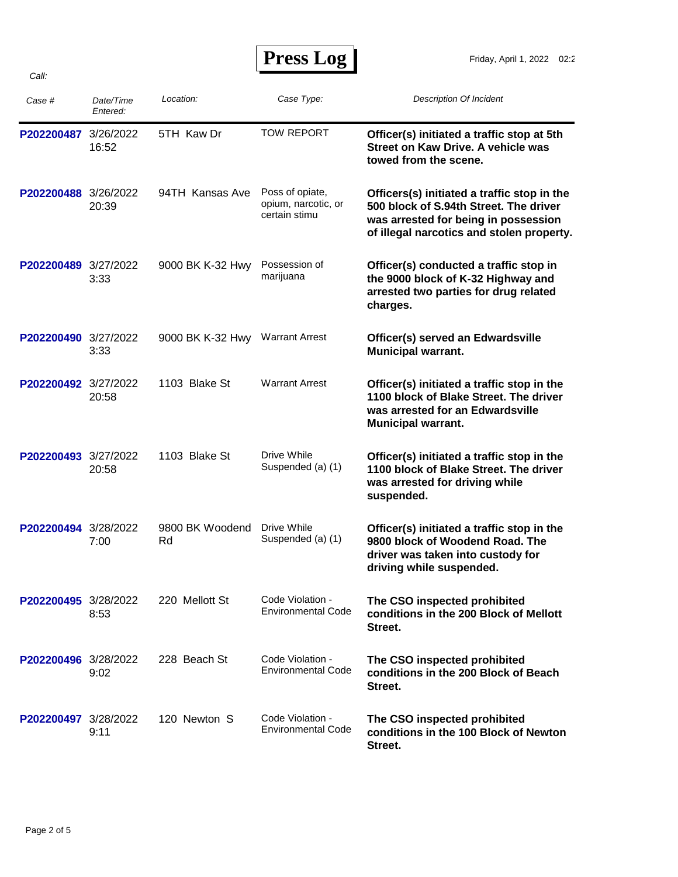**Press Log** 

| Case #               | Date/Time<br>Entered: | Location:             | Case Type:                                              | <b>Description Of Incident</b>                                                                                                                                             |
|----------------------|-----------------------|-----------------------|---------------------------------------------------------|----------------------------------------------------------------------------------------------------------------------------------------------------------------------------|
| P202200487 3/26/2022 | 16:52                 | 5TH Kaw Dr            | <b>TOW REPORT</b>                                       | Officer(s) initiated a traffic stop at 5th<br>Street on Kaw Drive, A vehicle was<br>towed from the scene.                                                                  |
| P202200488 3/26/2022 | 20:39                 | 94TH Kansas Ave       | Poss of opiate,<br>opium, narcotic, or<br>certain stimu | Officers(s) initiated a traffic stop in the<br>500 block of S.94th Street. The driver<br>was arrested for being in possession<br>of illegal narcotics and stolen property. |
| P202200489 3/27/2022 | 3:33                  | 9000 BK K-32 Hwy      | Possession of<br>marijuana                              | Officer(s) conducted a traffic stop in<br>the 9000 block of K-32 Highway and<br>arrested two parties for drug related<br>charges.                                          |
| P202200490 3/27/2022 | 3:33                  | 9000 BK K-32 Hwy      | <b>Warrant Arrest</b>                                   | Officer(s) served an Edwardsville<br><b>Municipal warrant.</b>                                                                                                             |
| P202200492 3/27/2022 | 20:58                 | 1103 Blake St         | <b>Warrant Arrest</b>                                   | Officer(s) initiated a traffic stop in the<br>1100 block of Blake Street. The driver<br>was arrested for an Edwardsville<br><b>Municipal warrant.</b>                      |
| P202200493 3/27/2022 | 20:58                 | 1103 Blake St         | Drive While<br>Suspended (a) (1)                        | Officer(s) initiated a traffic stop in the<br>1100 block of Blake Street. The driver<br>was arrested for driving while<br>suspended.                                       |
| P202200494 3/28/2022 | 7:00                  | 9800 BK Woodend<br>Rd | Drive While<br>Suspended (a) (1)                        | Officer(s) initiated a traffic stop in the<br>9800 block of Woodend Road. The<br>driver was taken into custody for<br>driving while suspended.                             |
| P202200495 3/28/2022 | 8:53                  | 220 Mellott St        | Code Violation -<br><b>Environmental Code</b>           | The CSO inspected prohibited<br>conditions in the 200 Block of Mellott<br>Street.                                                                                          |
| P202200496 3/28/2022 | 9:02                  | 228 Beach St          | Code Violation -<br><b>Environmental Code</b>           | The CSO inspected prohibited<br>conditions in the 200 Block of Beach<br>Street.                                                                                            |
| P202200497 3/28/2022 | 9:11                  | 120 Newton S          | Code Violation -<br><b>Environmental Code</b>           | The CSO inspected prohibited<br>conditions in the 100 Block of Newton<br>Street.                                                                                           |

*Call:*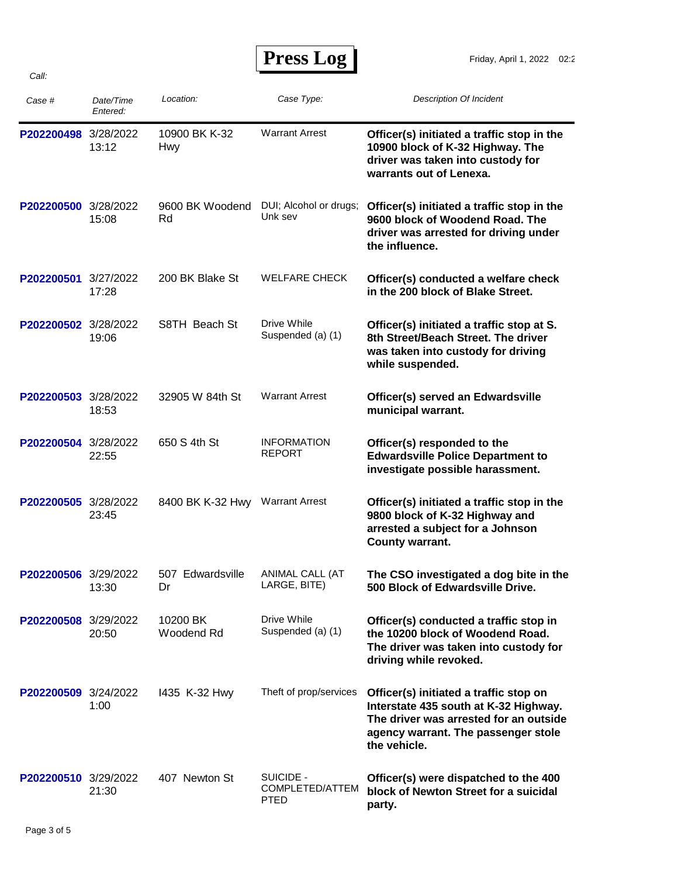| <b>Press Log</b> |  |
|------------------|--|
|------------------|--|

| Case #               | Date/Time<br>Entered: | Location:                       | Case Type:                                  | <b>Description Of Incident</b>                                                                                                                                                   |
|----------------------|-----------------------|---------------------------------|---------------------------------------------|----------------------------------------------------------------------------------------------------------------------------------------------------------------------------------|
| P202200498 3/28/2022 | 13:12                 | 10900 BK K-32<br>Hwy            | <b>Warrant Arrest</b>                       | Officer(s) initiated a traffic stop in the<br>10900 block of K-32 Highway. The<br>driver was taken into custody for<br>warrants out of Lenexa.                                   |
| P202200500 3/28/2022 | 15:08                 | 9600 BK Woodend<br>Rd           | DUI; Alcohol or drugs;<br>Unk sev           | Officer(s) initiated a traffic stop in the<br>9600 block of Woodend Road. The<br>driver was arrested for driving under<br>the influence.                                         |
| P202200501 3/27/2022 | 17:28                 | 200 BK Blake St                 | <b>WELFARE CHECK</b>                        | Officer(s) conducted a welfare check<br>in the 200 block of Blake Street.                                                                                                        |
| P202200502 3/28/2022 | 19:06                 | S8TH Beach St                   | Drive While<br>Suspended (a) (1)            | Officer(s) initiated a traffic stop at S.<br>8th Street/Beach Street. The driver<br>was taken into custody for driving<br>while suspended.                                       |
| P202200503 3/28/2022 | 18:53                 | 32905 W 84th St                 | <b>Warrant Arrest</b>                       | Officer(s) served an Edwardsville<br>municipal warrant.                                                                                                                          |
| P202200504 3/28/2022 | 22:55                 | 650 S 4th St                    | <b>INFORMATION</b><br><b>REPORT</b>         | Officer(s) responded to the<br><b>Edwardsville Police Department to</b><br>investigate possible harassment.                                                                      |
| P202200505 3/28/2022 | 23:45                 | 8400 BK K-32 Hwy Warrant Arrest |                                             | Officer(s) initiated a traffic stop in the<br>9800 block of K-32 Highway and<br>arrested a subject for a Johnson<br>County warrant.                                              |
| P202200506 3/29/2022 | 13:30                 | 507 Edwardsville<br>Dr          | ANIMAL CALL (AT<br>LARGE, BITE)             | The CSO investigated a dog bite in the<br>500 Block of Edwardsville Drive.                                                                                                       |
| P202200508 3/29/2022 | 20:50                 | 10200 BK<br>Woodend Rd          | Drive While<br>Suspended (a) (1)            | Officer(s) conducted a traffic stop in<br>the 10200 block of Woodend Road.<br>The driver was taken into custody for<br>driving while revoked.                                    |
| P202200509 3/24/2022 | 1:00                  | 1435 K-32 Hwy                   | Theft of prop/services                      | Officer(s) initiated a traffic stop on<br>Interstate 435 south at K-32 Highway.<br>The driver was arrested for an outside<br>agency warrant. The passenger stole<br>the vehicle. |
| P202200510 3/29/2022 | 21:30                 | 407 Newton St                   | SUICIDE -<br>COMPLETED/ATTEM<br><b>PTED</b> | Officer(s) were dispatched to the 400<br>block of Newton Street for a suicidal<br>party.                                                                                         |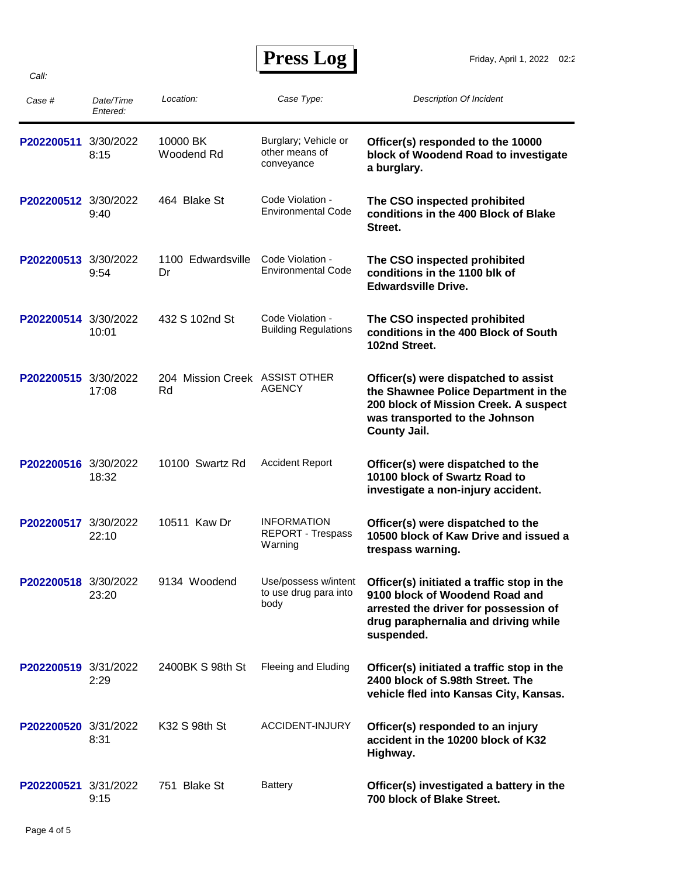**Press Log** 

| Case #               | Date/Time<br>Entered: | Location:                            | Case Type:                                                | <b>Description Of Incident</b>                                                                                                                                                 |
|----------------------|-----------------------|--------------------------------------|-----------------------------------------------------------|--------------------------------------------------------------------------------------------------------------------------------------------------------------------------------|
| P202200511           | 3/30/2022<br>8:15     | 10000 BK<br>Woodend Rd               | Burglary; Vehicle or<br>other means of<br>conveyance      | Officer(s) responded to the 10000<br>block of Woodend Road to investigate<br>a burglary.                                                                                       |
| P202200512 3/30/2022 | 9:40                  | 464 Blake St                         | Code Violation -<br><b>Environmental Code</b>             | The CSO inspected prohibited<br>conditions in the 400 Block of Blake<br>Street.                                                                                                |
| P202200513 3/30/2022 | 9:54                  | 1100 Edwardsville<br>Dr              | Code Violation -<br><b>Environmental Code</b>             | The CSO inspected prohibited<br>conditions in the 1100 blk of<br><b>Edwardsville Drive.</b>                                                                                    |
| P202200514 3/30/2022 | 10:01                 | 432 S 102nd St                       | Code Violation -<br><b>Building Regulations</b>           | The CSO inspected prohibited<br>conditions in the 400 Block of South<br>102nd Street.                                                                                          |
| P202200515           | 3/30/2022<br>17:08    | 204 Mission Creek ASSIST OTHER<br>Rd | <b>AGENCY</b>                                             | Officer(s) were dispatched to assist<br>the Shawnee Police Department in the<br>200 block of Mission Creek. A suspect<br>was transported to the Johnson<br><b>County Jail.</b> |
| P202200516 3/30/2022 | 18:32                 | 10100 Swartz Rd                      | <b>Accident Report</b>                                    | Officer(s) were dispatched to the<br>10100 block of Swartz Road to<br>investigate a non-injury accident.                                                                       |
| P202200517           | 3/30/2022<br>22:10    | 10511 Kaw Dr                         | <b>INFORMATION</b><br><b>REPORT - Trespass</b><br>Warning | Officer(s) were dispatched to the<br>10500 block of Kaw Drive and issued a<br>trespass warning.                                                                                |
| P202200518 3/30/2022 | 23:20                 | 9134 Woodend                         | Use/possess w/intent<br>to use drug para into<br>body     | Officer(s) initiated a traffic stop in the<br>9100 block of Woodend Road and<br>arrested the driver for possession of<br>drug paraphernalia and driving while<br>suspended.    |
| P202200519 3/31/2022 | 2:29                  | 2400BK S 98th St                     | Fleeing and Eluding                                       | Officer(s) initiated a traffic stop in the<br>2400 block of S.98th Street. The<br>vehicle fled into Kansas City, Kansas.                                                       |
| P202200520 3/31/2022 | 8:31                  | K32 S 98th St                        | ACCIDENT-INJURY                                           | Officer(s) responded to an injury<br>accident in the 10200 block of K32<br>Highway.                                                                                            |
| P202200521 3/31/2022 | 9:15                  | 751 Blake St                         | <b>Battery</b>                                            | Officer(s) investigated a battery in the<br>700 block of Blake Street.                                                                                                         |